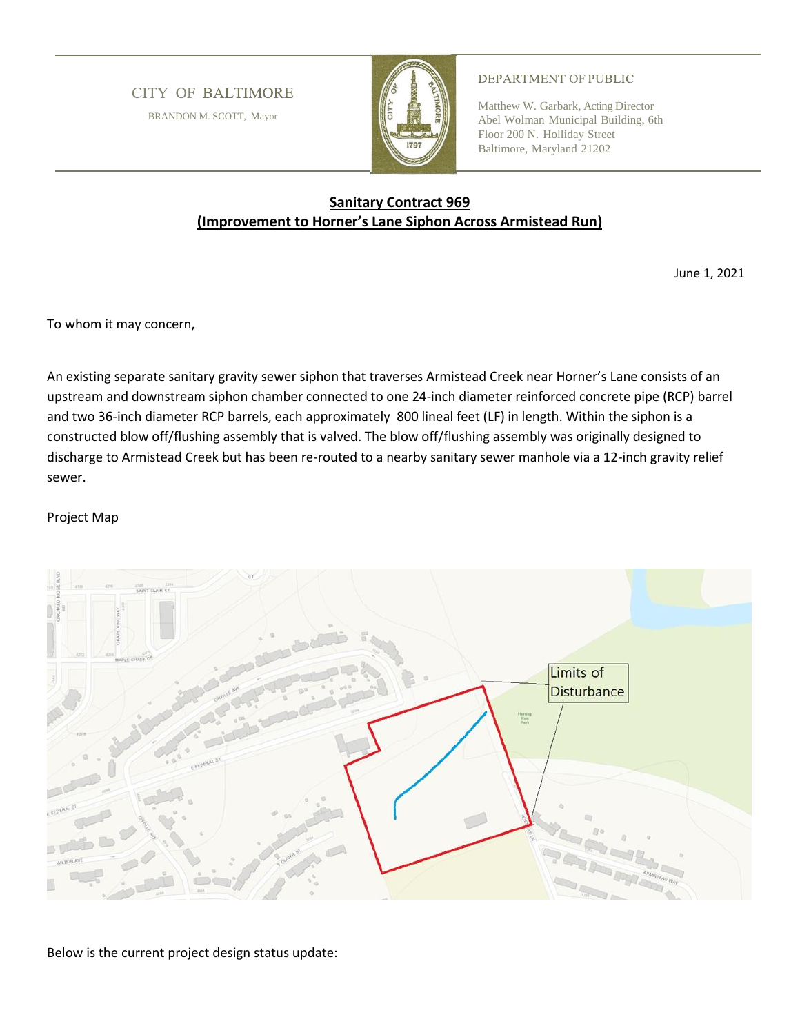**CITY OF BALTIMORE** 

BRANDON M. SCOTT, Mayor



## DEPARTMENT OF PUBLIC

Matthew W. Garbark, Acting Director Abel Wolman Municipal Building, 6th Floor 200 N. Holliday Street Baltimore, Maryland 21202

## **Sanitary Contract 969 (Improvement to Horner's Lane Siphon Across Armistead Run)**

June 1, 2021

To whom it may concern,

An existing separate sanitary gravity sewer siphon that traverses Armistead Creek near Horner's Lane consists of an upstream and downstream siphon chamber connected to one 24-inch diameter reinforced concrete pipe (RCP) barrel and two 36-inch diameter RCP barrels, each approximately 800 lineal feet (LF) in length. Within the siphon is a constructed blow off/flushing assembly that is valved. The blow off/flushing assembly was originally designed to discharge to Armistead Creek but has been re-routed to a nearby sanitary sewer manhole via a 12-inch gravity relief sewer.

## Project Map



Below is the current project design status update: